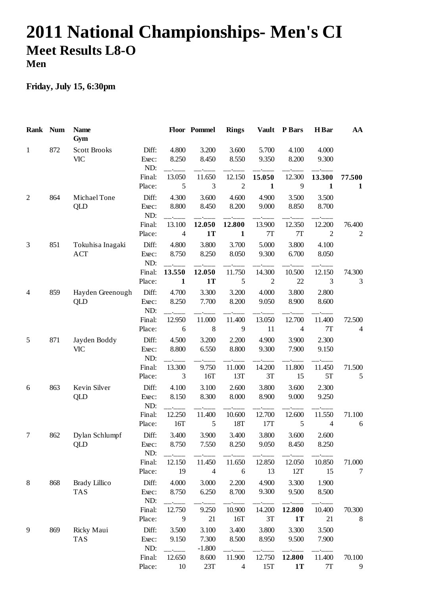## **2011 National Championships- Men's CI Meet Results L8-O Men**

## **Friday, July 15, 6:30pm**

| Rank Num       |     | <b>Name</b><br>Gym                 |                       |                          | Floor Pommel               | <b>Rings</b>             | <b>Vault</b>             | <b>P</b> Bars       | H Bar                    | AA                     |
|----------------|-----|------------------------------------|-----------------------|--------------------------|----------------------------|--------------------------|--------------------------|---------------------|--------------------------|------------------------|
| $\mathbf{1}$   | 872 | <b>Scott Brooks</b><br><b>VIC</b>  | Diff:<br>Exec:<br>ND: | 4.800<br>8.250           | 3.200<br>8.450             | 3.600<br>8.550           | 5.700<br>9.350           | 4.100<br>8.200      | 4.000<br>9.300           |                        |
|                |     |                                    | Final:<br>Place:      | 13.050<br>5              | 11.650<br>3                | 12.150<br>$\overline{2}$ | 15.050<br>$\mathbf{1}$   | 12.300<br>9         | 13.300<br>$\mathbf{1}$   | 77.500<br>$\mathbf 1$  |
| $\overline{2}$ | 864 | Michael Tone<br>QLD                | Diff:<br>Exec:<br>ND: | 4.300<br>8.800           | 3.600<br>8.450             | 4.600<br>8.200           | 4.900<br>9.000           | 3.500<br>8.850      | 3.500<br>8.700           |                        |
|                |     |                                    | Final:<br>Place:      | 13.100<br>$\overline{4}$ | 12.050<br><b>1T</b>        | 12.800<br>$\mathbf{1}$   | 13.900<br>7T             | 12.350<br>7T        | 12.200<br>$\overline{2}$ | 76.400<br>$\mathbf{2}$ |
| 3              | 851 | Tokuhisa Inagaki<br><b>ACT</b>     | Diff:<br>Exec:<br>ND: | 4.800<br>8.750           | 3.800<br>8.250             | 3.700<br>8.050           | 5.000<br>9.300           | 3.800<br>6.700      | 4.100<br>8.050           |                        |
|                |     |                                    | Final:<br>Place:      | 13.550<br>$\mathbf{1}$   | 12.050<br>1T               | 11.750<br>5              | 14.300<br>$\overline{2}$ | 10.500<br>$22\,$    | 12.150<br>3              | 74.300<br>3            |
| 4              | 859 | Hayden Greenough<br>QLD            | Diff:<br>Exec:<br>ND: | 4.700<br>8.250           | 3.300<br>7.700             | 3.200<br>8.200           | 4.000<br>9.050           | 3.800<br>8.900      | 2.800<br>8.600           |                        |
|                |     |                                    | Final:<br>Place:      | 12.950<br>6              | 11.000<br>8                | 11.400<br>9              | 13.050<br>11             | 12.700<br>4         | 11.400<br>7T             | 72.500<br>4            |
| 5              | 871 | Jayden Boddy<br><b>VIC</b>         | Diff:<br>Exec:<br>ND: | 4.500<br>8.800           | 3.200<br>6.550             | 2.200<br>8.800           | 4.900<br>9.300           | 3.900<br>7.900      | 2.300<br>9.150           |                        |
|                |     |                                    | Final:<br>Place:      | 13.300<br>3              | 9.750<br>16T               | 11.000<br>13T            | 14.200<br>3T             | 11.800<br>15        | 11.450<br>5T             | 71.500<br>5            |
| 6              | 863 | Kevin Silver<br>QLD                | Diff:<br>Exec:<br>ND: | 4.100<br>8.150           | 3.100<br>8.300             | 2.600<br>8.000           | 3.800<br>8.900           | 3.600<br>9.000      | 2.300<br>9.250           |                        |
|                |     |                                    | Final:<br>Place:      | 12.250<br>16T            | 11.400<br>$\mathfrak{S}$   | 10.600<br>18T            | 12.700<br>17T            | 12.600<br>5         | 11.550<br>$\overline{4}$ | 71.100<br>$\sqrt{6}$   |
| 7              | 862 | Dylan Schlumpf<br><b>QLD</b>       | Diff:<br>Exec:<br>ND: | 3.400<br>8.750           | 3.900<br>7.550             | 3.400<br>8.250           | 3.800<br>9.050           | 3.600<br>8.450      | 2.600<br>8.250           |                        |
|                |     |                                    | Final:<br>Place:      | 12.150<br>19             | 11.450<br>$\overline{4}$   | 11.650<br>6              | 12.850<br>13             | 12.050<br>12T       | 10.850<br>15             | 71.000<br>7            |
| 8              | 868 | <b>Brady Lillico</b><br><b>TAS</b> | Diff:<br>Exec:<br>ND: | 4.000<br>8.750           | 3.000<br>6.250             | 2.200<br>8.700           | 4.900<br>9.300           | 3.300<br>9.500      | 1.900<br>8.500           |                        |
|                |     |                                    | Final:<br>Place:      | 12.750<br>9              | 9.250<br>21                | 10.900<br>16T            | 14.200<br>3T             | 12.800<br><b>1T</b> | 10.400<br>21             | 70.300<br>8            |
| 9              | 869 | Ricky Maui<br><b>TAS</b>           | Diff:<br>Exec:<br>ND: | 3.500<br>9.150           | 3.100<br>7.300<br>$-1.800$ | 3.400<br>8.500           | 3.800<br>8.950           | 3.300<br>9.500      | 3.500<br>7.900           |                        |
|                |     |                                    | Final:<br>Place:      | 12.650<br>10             | 8.600<br>23T               | 11.900<br>$\overline{4}$ | 12.750<br>15T            | 12.800<br><b>1T</b> | 11.400<br>7T             | 70.100<br>9            |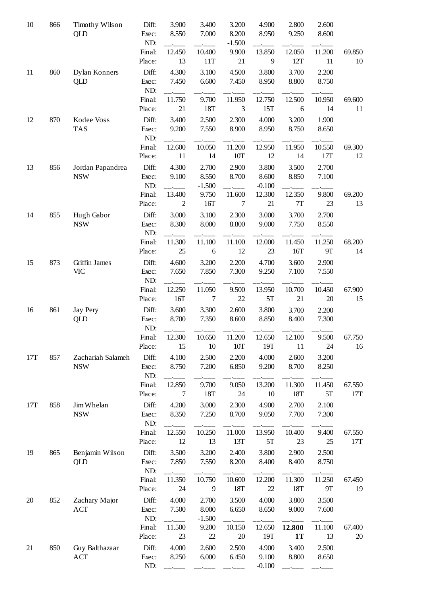| 10  | 866 | Timothy Wilson    | Diff:        | 3.900  | 3.400            | 3.200    | 4.900    | 2.800         | 2.600     |        |
|-----|-----|-------------------|--------------|--------|------------------|----------|----------|---------------|-----------|--------|
|     |     | QLD               | Exec:        | 8.550  | 7.000            | 8.200    | 8.950    | 9.250         | 8.600     |        |
|     |     |                   | ND:          |        |                  | $-1.500$ |          |               |           |        |
|     |     |                   | Final:       | 12.450 | 10.400           | 9.900    | 13.850   | 12.050        | 11.200    | 69.850 |
|     |     |                   | Place:       | 13     | 11T              | 21       | 9        | 12T           | 11        | 10     |
| 11  | 860 | Dylan Konners     | Diff:        | 4.300  | 3.100            | 4.500    | 3.800    | 3.700         | 2.200     |        |
|     |     | QLD               | Exec:        | 7.450  | 6.600            | 7.450    | 8.950    | 8.800         | 8.750     |        |
|     |     |                   | ND:          |        |                  |          |          |               |           |        |
|     |     |                   | Final:       | 11.750 | 9.700            | 11.950   | 12.750   | 12.500        | 10.950    | 69.600 |
|     |     |                   | Place:       | 21     | 18T              | 3        | 15T      | 6             | 14        | 11     |
| 12  | 870 | Kodee Voss        | Diff:        | 3.400  | 2.500            | 2.300    | 4.000    | 3.200         | 1.900     |        |
|     |     | <b>TAS</b>        | Exec:        | 9.200  | 7.550            | 8.900    | 8.950    | 8.750         | 8.650     |        |
|     |     |                   | ND:          |        |                  |          |          |               |           |        |
|     |     |                   | Final:       | 12.600 | 10.050           | 11.200   | 12.950   | 11.950        | 10.550    | 69.300 |
|     |     |                   | Place:       | 11     | 14               | 10T      | 12       | 14            | 17T       | 12     |
| 13  | 856 | Jordan Papandrea  | Diff:        | 4.300  | 2.700            | 2.900    | 3.800    | 3.500         | 2.700     |        |
|     |     | <b>NSW</b>        | Exec:        | 9.100  | 8.550            | 8.700    | 8.600    | 8.850         | 7.100     |        |
|     |     |                   | ND:          |        | $-1.500$         |          | $-0.100$ |               |           |        |
|     |     |                   | Final:       | 13.400 | 9.750            | 11.600   | 12.300   | 12.350        | 9.800     | 69.200 |
|     |     |                   | Place:       | 2      | 16T              | 7        | 21       | $7\mathrm{T}$ | 23        | 13     |
| 14  | 855 | Hugh Gabor        | Diff:        | 3.000  | 3.100            | 2.300    | 3.000    | 3.700         | 2.700     |        |
|     |     | <b>NSW</b>        | Exec:<br>ND: | 8.300  | 8.000            | 8.800    | 9.000    | 7.750         | 8.550     |        |
|     |     |                   | Final:       | 11.300 | 11.100           | 11.100   | 12.000   | 11.450        | 11.250    | 68.200 |
|     |     |                   | Place:       | 25     | $\boldsymbol{6}$ | 12       | 23       | 16T           | <b>9T</b> | 14     |
| 15  | 873 | Griffin James     | Diff:        | 4.600  | 3.200            | 2.200    | 4.700    | 3.600         | 2.900     |        |
|     |     | <b>VIC</b>        | Exec:<br>ND: | 7.650  | 7.850            | 7.300    | 9.250    | 7.100         | 7.550     |        |
|     |     |                   | Final:       | 12.250 | 11.050           | 9.500    | 13.950   | 10.700        | 10.450    | 67.900 |
|     |     |                   | Place:       | 16T    | $\overline{7}$   | 22       | 5T       | 21            | 20        | 15     |
| 16  | 861 | <b>Jay Pery</b>   | Diff:        | 3.600  | 3.300            | 2.600    | 3.800    | 3.700         | 2.200     |        |
|     |     | <b>QLD</b>        | Exec:<br>ND: | 8.700  | 7.350            | 8.600    | 8.850    | 8.400         | 7.300     |        |
|     |     |                   | Final:       | 12.300 | 10.650           | 11.200   | 12.650   | 12.100        | 9.500     | 67.750 |
|     |     |                   | Place:       | 15     | 10               | 10T      | 19T      | 11            | 24        | 16     |
|     |     |                   |              |        |                  |          |          |               |           |        |
| 17T | 857 | Zachariah Salameh | Diff:        | 4.100  | 2.500<br>7.200   | 2.200    | 4.000    | 2.600         | 3.200     |        |
|     |     | <b>NSW</b>        | Exec:<br>ND: | 8.750  |                  | 6.850    | 9.200    | 8.700         | 8.250     |        |
|     |     |                   | Final:       | 12.850 | 9.700            | 9.050    | 13.200   | 11.300        | 11.450    | 67.550 |
|     |     |                   | Place:       | 7      | 18T              | 24       | 10       | 18T           | 5T        | 17T    |
| 17T | 858 | Jim Whelan        | Diff:        | 4.200  | 3.000            | 2.300    | 4.900    | 2.700         | 2.100     |        |
|     |     | <b>NSW</b>        | Exec:        | 8.350  | 7.250            | 8.700    | 9.050    | 7.700         | 7.300     |        |
|     |     |                   | ND:          |        |                  |          |          |               |           |        |
|     |     |                   | Final:       | 12.550 | 10.250           | 11.000   | 13.950   | 10.400        | 9.400     | 67.550 |
|     |     |                   | Place:       | 12     | 13               | 13T      | 5T       | 23            | 25        | 17T    |
| 19  | 865 | Benjamin Wilson   | Diff:        | 3.500  | 3.200            | 2.400    | 3.800    | 2.900         | 2.500     |        |
|     |     | QLD               | Exec:        | 7.850  | 7.550            | 8.200    | 8.400    | 8.400         | 8.750     |        |
|     |     |                   | ND:          |        |                  |          |          |               |           |        |
|     |     |                   | Final:       | 11.350 | 10.750           | 10.600   | 12.200   | 11.300        | 11.250    | 67.450 |
|     |     |                   | Place:       | 24     | 9                | 18T      | 22       | 18T           | <b>9T</b> | 19     |
| 20  | 852 | Zachary Major     | Diff:        | 4.000  | 2.700            | 3.500    | 4.000    | 3.800         | 3.500     |        |
|     |     | <b>ACT</b>        | Exec:        | 7.500  | 8.000            | 6.650    | 8.650    | 9.000         | 7.600     |        |
|     |     |                   | ND:          |        | $-1.500$         |          |          |               |           |        |
|     |     |                   | Final:       | 11.500 | 9.200            | 10.150   | 12.650   | 12.800        | 11.100    | 67.400 |
|     |     |                   | Place:       | 23     | 22               | 20       | 19T      | <b>1T</b>     | 13        | 20     |
| 21  | 850 | Guy Balthazaar    | Diff:        | 4.000  | 2.600            | 2.500    | 4.900    | 3.400         | 2.500     |        |
|     |     | <b>ACT</b>        | Exec:        | 8.250  | 6.000            | 6.450    | 9.100    | 8.800         | 8.650     |        |
|     |     |                   | ND:          |        |                  |          | $-0.100$ |               |           |        |